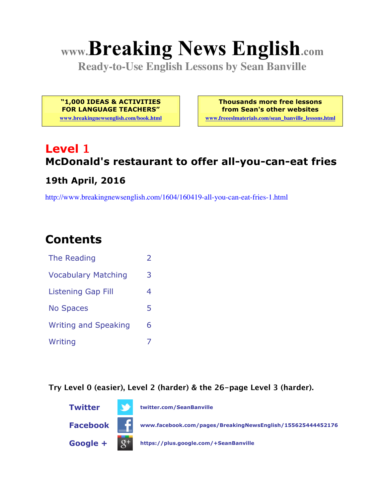# **www.Breaking News English.com**

**Ready-to-Use English Lessons by Sean Banville**

**"1,000 IDEAS & ACTIVITIES FOR LANGUAGE TEACHERS"**

**www.breakingnewsenglish.com/book.html**

**Thousands more free lessons from Sean's other websites www.freeeslmaterials.com/sean\_banville\_lessons.html**

# **Level 1 McDonald's restaurant to offer all-you-can-eat fries**

#### **19th April, 2016**

http://www.breakingnewsenglish.com/1604/160419-all-you-can-eat-fries-1.html

## **Contents**

| The Reading                 |   |
|-----------------------------|---|
| <b>Vocabulary Matching</b>  | 3 |
| <b>Listening Gap Fill</b>   | 4 |
| <b>No Spaces</b>            | 5 |
| <b>Writing and Speaking</b> | 6 |
| Writing                     |   |

**Try Level 0 (easier), Level 2 (harder) & the 26-page Level 3 (harder).**

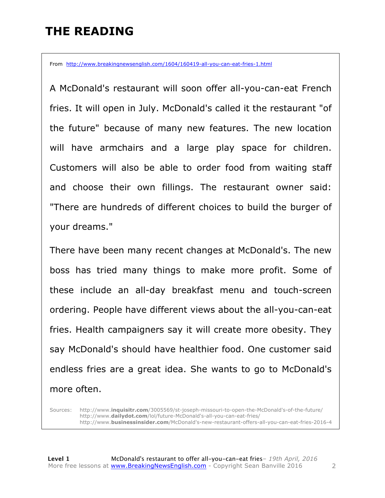# **THE READING**

From http://www.breakingnewsenglish.com/1604/160419-all-you-can-eat-fries-1.html

A McDonald's restaurant will soon offer all-you-can-eat French fries. It will open in July. McDonald's called it the restaurant "of the future" because of many new features. The new location will have armchairs and a large play space for children. Customers will also be able to order food from waiting staff and choose their own fillings. The restaurant owner said: "There are hundreds of different choices to build the burger of your dreams."

There have been many recent changes at McDonald's. The new boss has tried many things to make more profit. Some of these include an all-day breakfast menu and touch-screen ordering. People have different views about the all-you-can-eat fries. Health campaigners say it will create more obesity. They say McDonald's should have healthier food. One customer said endless fries are a great idea. She wants to go to McDonald's more often.

Sources: http://www.**inquisitr.com**/3005569/st-joseph-missouri-to-open-the-McDonald's-of-the-future/ http://www.**dailydot.com**/lol/future-McDonald's-all-you-can-eat-fries/ http://www.**businessinsider.com**/McDonald's-new-restaurant-offers-all-you-can-eat-fries-2016-4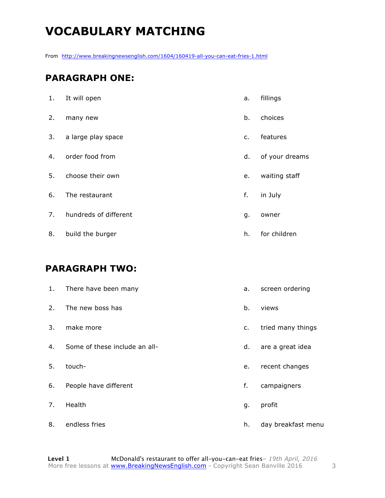# **VOCABULARY MATCHING**

From http://www.breakingnewsenglish.com/1604/160419-all-you-can-eat-fries-1.html

#### **PARAGRAPH ONE:**

| 1. | It will open          | a.             | fillings       |
|----|-----------------------|----------------|----------------|
| 2. | many new              | b.             | choices        |
| 3. | a large play space    | $\mathsf{C}$ . | features       |
| 4. | order food from       | d.             | of your dreams |
| 5. | choose their own      | e.             | waiting staff  |
| 6. | The restaurant        | f.             | in July        |
| 7. | hundreds of different | g.             | owner          |
| 8. | build the burger      | h.             | for children   |

#### **PARAGRAPH TWO:**

| 1. | There have been many          | а. | screen ordering    |
|----|-------------------------------|----|--------------------|
| 2. | The new boss has              | b. | views              |
| 3. | make more                     | c. | tried many things  |
| 4. | Some of these include an all- | d. | are a great idea   |
| 5. | touch-                        | e. | recent changes     |
| 6. | People have different         | f. | campaigners        |
| 7. | Health                        | g. | profit             |
| 8. | endless fries                 | h. | day breakfast menu |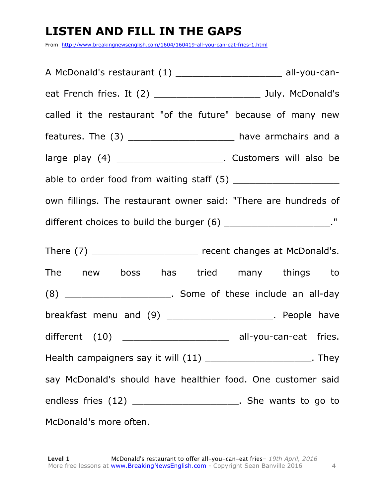# **LISTEN AND FILL IN THE GAPS**

From http://www.breakingnewsenglish.com/1604/160419-all-you-can-eat-fries-1.html

| A McDonald's restaurant (1) __________________________ all-you-can-  |
|----------------------------------------------------------------------|
| eat French fries. It (2) __________________________ July. McDonald's |
| called it the restaurant "of the future" because of many new         |
| features. The (3) _______________________ have armchairs and a       |
| large play (4) ________________________. Customers will also be      |
|                                                                      |
| own fillings. The restaurant owner said: "There are hundreds of      |
| different choices to build the burger $(6)$ _______________________" |
| There (7) _________________________ recent changes at McDonald's.    |
| The new boss has tried many things to                                |
| (8) ________________________. Some of these include an all-day       |
| breakfast menu and (9) _______________________. People have          |
|                                                                      |
| Health campaigners say it will (11) __________________________. They |
| say McDonald's should have healthier food. One customer said         |
| endless fries (12) ________________________. She wants to go to      |
| McDonald's more often.                                               |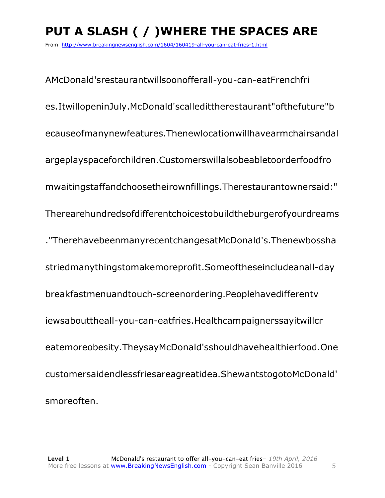# **PUT A SLASH ( / )WHERE THE SPACES ARE**

From http://www.breakingnewsenglish.com/1604/160419-all-you-can-eat-fries-1.html

AMcDonald'srestaurantwillsoonofferall-you-can-eatFrenchfri es.ItwillopeninJuly.McDonald'scalledittherestaurant"ofthefuture"b ecauseofmanynewfeatures.Thenewlocationwillhavearmchairsandal argeplayspaceforchildren.Customerswillalsobeabletoorderfoodfro mwaitingstaffandchoosetheirownfillings.Therestaurantownersaid:" Therearehundredsofdifferentchoicestobuildtheburgerofyourdreams ."TherehavebeenmanyrecentchangesatMcDonald's.Thenewbossha striedmanythingstomakemoreprofit.Someoftheseincludeanall-day breakfastmenuandtouch-screenordering.Peoplehavedifferentv iewsabouttheall-you-can-eatfries.Healthcampaignerssayitwillcr eatemoreobesity.TheysayMcDonald'sshouldhavehealthierfood.One customersaidendlessfriesareagreatidea.ShewantstogotoMcDonald' smoreoften.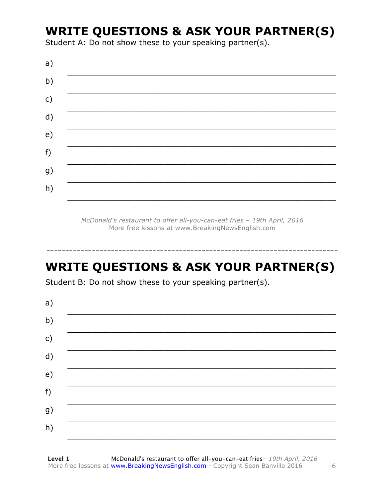## **WRITE QUESTIONS & ASK YOUR PARTNER(S)**

Student A: Do not show these to your speaking partner(s).

| a) |  |  |
|----|--|--|
| b) |  |  |
| c) |  |  |
| d) |  |  |
| e) |  |  |
| f) |  |  |
| g) |  |  |
| h) |  |  |

McDonald's restaurant to offer all-you-can-eat fries - 19th April, 2016 More free lessons at www.BreakingNewsEnglish.com

# **WRITE QUESTIONS & ASK YOUR PARTNER(S)**

Student B: Do not show these to your speaking partner(s).